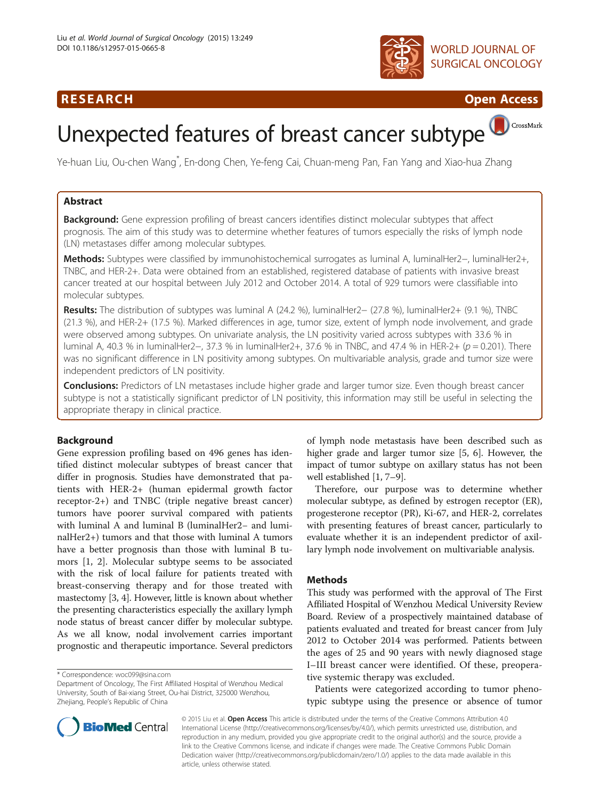### R E S EAR CH Open Access





# Unexpected features of breast cancer subtype

Ye-huan Liu, Ou-chen Wang\* , En-dong Chen, Ye-feng Cai, Chuan-meng Pan, Fan Yang and Xiao-hua Zhang

#### Abstract

Background: Gene expression profiling of breast cancers identifies distinct molecular subtypes that affect prognosis. The aim of this study was to determine whether features of tumors especially the risks of lymph node (LN) metastases differ among molecular subtypes.

Methods: Subtypes were classified by immunohistochemical surrogates as luminal A, luminalHer2−, luminalHer2+, TNBC, and HER-2+. Data were obtained from an established, registered database of patients with invasive breast cancer treated at our hospital between July 2012 and October 2014. A total of 929 tumors were classifiable into molecular subtypes.

Results: The distribution of subtypes was luminal A (24.2 %), luminalHer2− (27.8 %), luminalHer2+ (9.1 %), TNBC (21.3 %), and HER-2+ (17.5 %). Marked differences in age, tumor size, extent of lymph node involvement, and grade were observed among subtypes. On univariate analysis, the LN positivity varied across subtypes with 33.6 % in luminal A, 40.3 % in luminalHer2−, 37.3 % in luminalHer2+, 37.6 % in TNBC, and 47.4 % in HER-2+ (p = 0.201). There was no significant difference in LN positivity among subtypes. On multivariable analysis, grade and tumor size were independent predictors of LN positivity.

**Conclusions:** Predictors of LN metastases include higher grade and larger tumor size. Even though breast cancer subtype is not a statistically significant predictor of LN positivity, this information may still be useful in selecting the appropriate therapy in clinical practice.

#### Background

Gene expression profiling based on 496 genes has identified distinct molecular subtypes of breast cancer that differ in prognosis. Studies have demonstrated that patients with HER-2+ (human epidermal growth factor receptor-2+) and TNBC (triple negative breast cancer) tumors have poorer survival compared with patients with luminal A and luminal B (luminalHer2− and luminalHer2+) tumors and that those with luminal A tumors have a better prognosis than those with luminal B tumors [\[1, 2\]](#page-4-0). Molecular subtype seems to be associated with the risk of local failure for patients treated with breast-conserving therapy and for those treated with mastectomy [\[3, 4](#page-4-0)]. However, little is known about whether the presenting characteristics especially the axillary lymph node status of breast cancer differ by molecular subtype. As we all know, nodal involvement carries important prognostic and therapeutic importance. Several predictors

of lymph node metastasis have been described such as higher grade and larger tumor size [[5](#page-4-0), [6\]](#page-4-0). However, the impact of tumor subtype on axillary status has not been well established [[1, 7](#page-4-0)–[9\]](#page-4-0).

Therefore, our purpose was to determine whether molecular subtype, as defined by estrogen receptor (ER), progesterone receptor (PR), Ki-67, and HER-2, correlates with presenting features of breast cancer, particularly to evaluate whether it is an independent predictor of axillary lymph node involvement on multivariable analysis.

#### Methods

This study was performed with the approval of The First Affiliated Hospital of Wenzhou Medical University Review Board. Review of a prospectively maintained database of patients evaluated and treated for breast cancer from July 2012 to October 2014 was performed. Patients between the ages of 25 and 90 years with newly diagnosed stage I–III breast cancer were identified. Of these, preoperative systemic therapy was excluded.

Patients were categorized according to tumor phenotypic subtype using the presence or absence of tumor



© 2015 Liu et al. Open Access This article is distributed under the terms of the Creative Commons Attribution 4.0 International License [\(http://creativecommons.org/licenses/by/4.0/\)](http://creativecommons.org/licenses/by/4.0/), which permits unrestricted use, distribution, and reproduction in any medium, provided you give appropriate credit to the original author(s) and the source, provide a link to the Creative Commons license, and indicate if changes were made. The Creative Commons Public Domain Dedication waiver ([http://creativecommons.org/publicdomain/zero/1.0/\)](http://creativecommons.org/publicdomain/zero/1.0/) applies to the data made available in this article, unless otherwise stated.

<sup>\*</sup> Correspondence: [woc099@sina.com](mailto:woc099@sina.com)

Department of Oncology, The First Affiliated Hospital of Wenzhou Medical University, South of Bai-xiang Street, Ou-hai District, 325000 Wenzhou, Zhejiang, People's Republic of China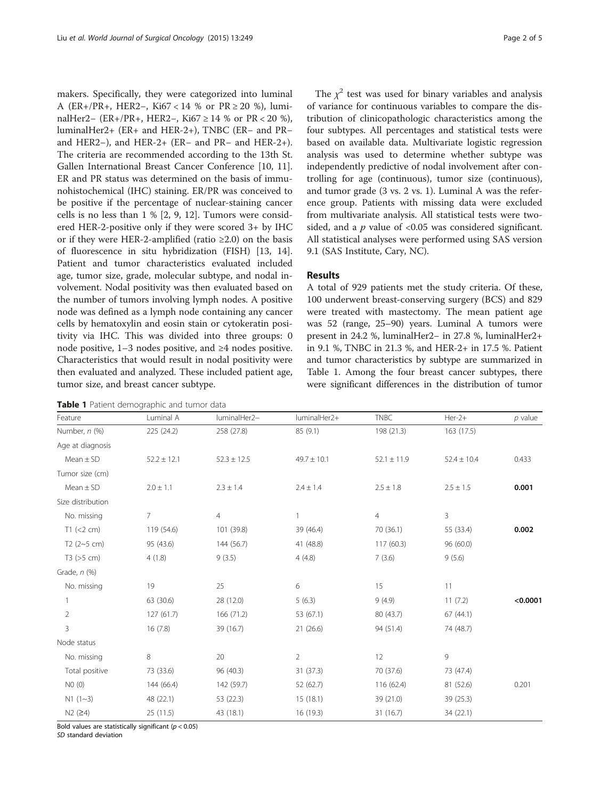makers. Specifically, they were categorized into luminal A (ER+/PR+, HER2−, Ki67 < 14 % or PR ≥ 20 %), luminalHer2− (ER+/PR+, HER2−, Ki67 ≥ 14 % or PR < 20 %), luminalHer2+ (ER+ and HER-2+), TNBC (ER− and PR− and HER2−), and HER-2+ (ER− and PR− and HER-2+). The criteria are recommended according to the 13th St. Gallen International Breast Cancer Conference [[10](#page-4-0), [11](#page-4-0)]. ER and PR status was determined on the basis of immunohistochemical (IHC) staining. ER/PR was conceived to be positive if the percentage of nuclear-staining cancer cells is no less than 1 % [\[2](#page-4-0), [9, 12](#page-4-0)]. Tumors were considered HER-2-positive only if they were scored 3+ by IHC or if they were HER-2-amplified (ratio  $\geq 2.0$ ) on the basis of fluorescence in situ hybridization (FISH) [[13](#page-4-0), [14](#page-4-0)]. Patient and tumor characteristics evaluated included age, tumor size, grade, molecular subtype, and nodal involvement. Nodal positivity was then evaluated based on the number of tumors involving lymph nodes. A positive node was defined as a lymph node containing any cancer cells by hematoxylin and eosin stain or cytokeratin positivity via IHC. This was divided into three groups: 0 node positive,  $1-3$  nodes positive, and ≥4 nodes positive. Characteristics that would result in nodal positivity were then evaluated and analyzed. These included patient age, tumor size, and breast cancer subtype.

| Table 1 Patient demographic and tumor data |  |
|--------------------------------------------|--|
|--------------------------------------------|--|

The  $\chi^2$  test was used for binary variables and analysis of variance for continuous variables to compare the distribution of clinicopathologic characteristics among the four subtypes. All percentages and statistical tests were based on available data. Multivariate logistic regression analysis was used to determine whether subtype was independently predictive of nodal involvement after controlling for age (continuous), tumor size (continuous), and tumor grade (3 vs. 2 vs. 1). Luminal A was the reference group. Patients with missing data were excluded from multivariate analysis. All statistical tests were twosided, and a  $p$  value of <0.05 was considered significant. All statistical analyses were performed using SAS version 9.1 (SAS Institute, Cary, NC).

#### Results

A total of 929 patients met the study criteria. Of these, 100 underwent breast-conserving surgery (BCS) and 829 were treated with mastectomy. The mean patient age was 52 (range, 25–90) years. Luminal A tumors were present in 24.2 %, luminalHer2− in 27.8 %, luminalHer2+ in 9.1 %, TNBC in 21.3 %, and HER-2+ in 17.5 %. Patient and tumor characteristics by subtype are summarized in Table 1. Among the four breast cancer subtypes, there were significant differences in the distribution of tumor

| Feature           | Luminal A       | luminalHer2-    | luminalHer2+    | <b>TNBC</b>     | $Her-2+$        | $p$ value |
|-------------------|-----------------|-----------------|-----------------|-----------------|-----------------|-----------|
| Number, n (%)     | 225 (24.2)      | 258 (27.8)      | 85(9.1)         | 198 (21.3)      | 163 (17.5)      |           |
| Age at diagnosis  |                 |                 |                 |                 |                 |           |
| $Mean \pm SD$     | $52.2 \pm 12.1$ | $52.3 \pm 12.5$ | $49.7 \pm 10.1$ | $52.1 \pm 11.9$ | $52.4 \pm 10.4$ | 0.433     |
| Tumor size (cm)   |                 |                 |                 |                 |                 |           |
| $Mean \pm SD$     | $2.0 \pm 1.1$   | $2.3 \pm 1.4$   | $2.4 \pm 1.4$   | $2.5 \pm 1.8$   | $2.5 \pm 1.5$   | 0.001     |
| Size distribution |                 |                 |                 |                 |                 |           |
| No. missing       | 7               | 4               | 1               | $\overline{4}$  | 3               |           |
| $T1$ (<2 cm)      | 119 (54.6)      | 101 (39.8)      | 39 (46.4)       | 70 (36.1)       | 55 (33.4)       | 0.002     |
| T2 $(2-5$ cm)     | 95 (43.6)       | 144 (56.7)      | 41 (48.8)       | 117(60.3)       | 96 (60.0)       |           |
| T3 (>5 cm)        | 4(1.8)          | 9(3.5)          | 4(4.8)          | 7(3.6)          | 9(5.6)          |           |
| Grade, $n$ (%)    |                 |                 |                 |                 |                 |           |
| No. missing       | 19              | 25              | 6               | 15              | 11              |           |
| 1                 | 63 (30.6)       | 28 (12.0)       | 5(6.3)          | 9(4.9)          | 11(7.2)         | < 0.0001  |
| $\overline{2}$    | 127(61.7)       | 166 (71.2)      | 53 (67.1)       | 80 (43.7)       | 67(44.1)        |           |
| 3                 | 16(7.8)         | 39 (16.7)       | 21(26.6)        | 94 (51.4)       | 74 (48.7)       |           |
| Node status       |                 |                 |                 |                 |                 |           |
| No. missing       | 8               | 20              | $\overline{2}$  | 12              | 9               |           |
| Total positive    | 73 (33.6)       | 96 (40.3)       | 31 (37.3)       | 70 (37.6)       | 73 (47.4)       |           |
| NO(0)             | 144 (66.4)      | 142 (59.7)      | 52 (62.7)       | 116 (62.4)      | 81 (52.6)       | 0.201     |
| $N1$ (1~3)        | 48 (22.1)       | 53 (22.3)       | 15(18.1)        | 39 (21.0)       | 39 (25.3)       |           |
| N2 (24)           | 25 (11.5)       | 43 (18.1)       | 16 (19.3)       | 31(16.7)        | 34 (22.1)       |           |

Bold values are statistically significant ( $p < 0.05$ )

SD standard deviation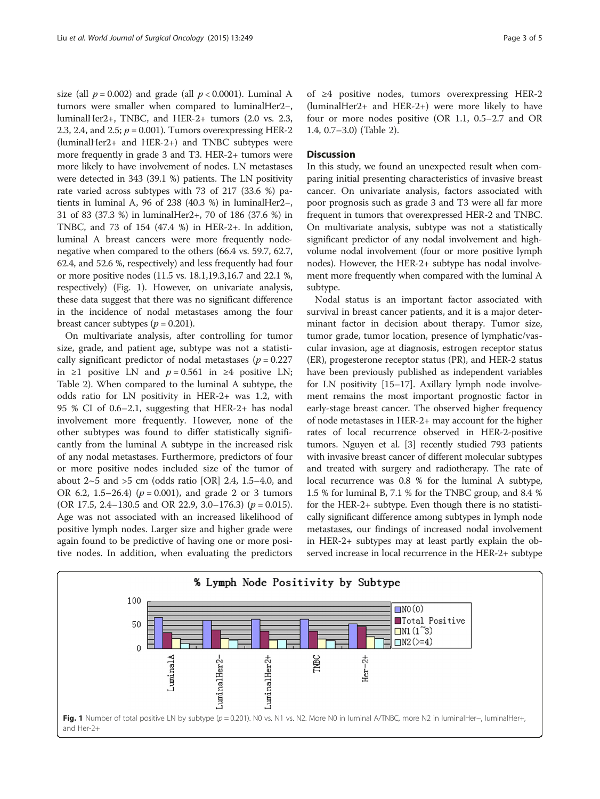size (all  $p = 0.002$ ) and grade (all  $p < 0.0001$ ). Luminal A tumors were smaller when compared to luminalHer2−, luminalHer2+, TNBC, and HER-2+ tumors (2.0 vs. 2.3, 2.3, 2.4, and 2.5;  $p = 0.001$ ). Tumors overexpressing HER-2 (luminalHer2+ and HER-2+) and TNBC subtypes were more frequently in grade 3 and T3. HER-2+ tumors were more likely to have involvement of nodes. LN metastases were detected in 343 (39.1 %) patients. The LN positivity rate varied across subtypes with 73 of 217 (33.6 %) patients in luminal A, 96 of 238 (40.3 %) in luminalHer2−, 31 of 83 (37.3 %) in luminalHer2+, 70 of 186 (37.6 %) in TNBC, and 73 of 154 (47.4 %) in HER-2+. In addition, luminal A breast cancers were more frequently nodenegative when compared to the others (66.4 vs. 59.7, 62.7, 62.4, and 52.6 %, respectively) and less frequently had four or more positive nodes (11.5 vs. 18.1,19.3,16.7 and 22.1 %, respectively) (Fig. 1). However, on univariate analysis, these data suggest that there was no significant difference in the incidence of nodal metastases among the four breast cancer subtypes ( $p = 0.201$ ).

On multivariate analysis, after controlling for tumor size, grade, and patient age, subtype was not a statistically significant predictor of nodal metastases ( $p = 0.227$ ) in ≥1 positive LN and  $p = 0.561$  in ≥4 positive LN; Table [2](#page-3-0)). When compared to the luminal A subtype, the odds ratio for LN positivity in HER-2+ was 1.2, with 95 % CI of 0.6–2.1, suggesting that HER-2+ has nodal involvement more frequently. However, none of the other subtypes was found to differ statistically significantly from the luminal A subtype in the increased risk of any nodal metastases. Furthermore, predictors of four or more positive nodes included size of the tumor of about  $2~5$  and  $>5$  cm (odds ratio [OR] 2.4, 1.5–4.0, and OR 6.2, 1.5–26.4) ( $p = 0.001$ ), and grade 2 or 3 tumors (OR 17.5, 2.4–130.5 and OR 22.9, 3.0–176.3) ( $p = 0.015$ ). Age was not associated with an increased likelihood of positive lymph nodes. Larger size and higher grade were again found to be predictive of having one or more positive nodes. In addition, when evaluating the predictors

of ≥4 positive nodes, tumors overexpressing HER-2 (luminalHer2+ and HER-2+) were more likely to have four or more nodes positive (OR 1.1, 0.5–2.7 and OR 1.4, 0.7–3.0) (Table [2\)](#page-3-0).

#### **Discussion**

In this study, we found an unexpected result when comparing initial presenting characteristics of invasive breast cancer. On univariate analysis, factors associated with poor prognosis such as grade 3 and T3 were all far more frequent in tumors that overexpressed HER-2 and TNBC. On multivariate analysis, subtype was not a statistically significant predictor of any nodal involvement and highvolume nodal involvement (four or more positive lymph nodes). However, the HER-2+ subtype has nodal involvement more frequently when compared with the luminal A subtype.

Nodal status is an important factor associated with survival in breast cancer patients, and it is a major determinant factor in decision about therapy. Tumor size, tumor grade, tumor location, presence of lymphatic/vascular invasion, age at diagnosis, estrogen receptor status (ER), progesterone receptor status (PR), and HER-2 status have been previously published as independent variables for LN positivity [[15](#page-4-0)–[17\]](#page-4-0). Axillary lymph node involvement remains the most important prognostic factor in early-stage breast cancer. The observed higher frequency of node metastases in HER-2+ may account for the higher rates of local recurrence observed in HER-2-positive tumors. Nguyen et al. [[3\]](#page-4-0) recently studied 793 patients with invasive breast cancer of different molecular subtypes and treated with surgery and radiotherapy. The rate of local recurrence was 0.8 % for the luminal A subtype, 1.5 % for luminal B, 7.1 % for the TNBC group, and 8.4 % for the HER-2+ subtype. Even though there is no statistically significant difference among subtypes in lymph node metastases, our findings of increased nodal involvement in HER-2+ subtypes may at least partly explain the observed increase in local recurrence in the HER-2+ subtype

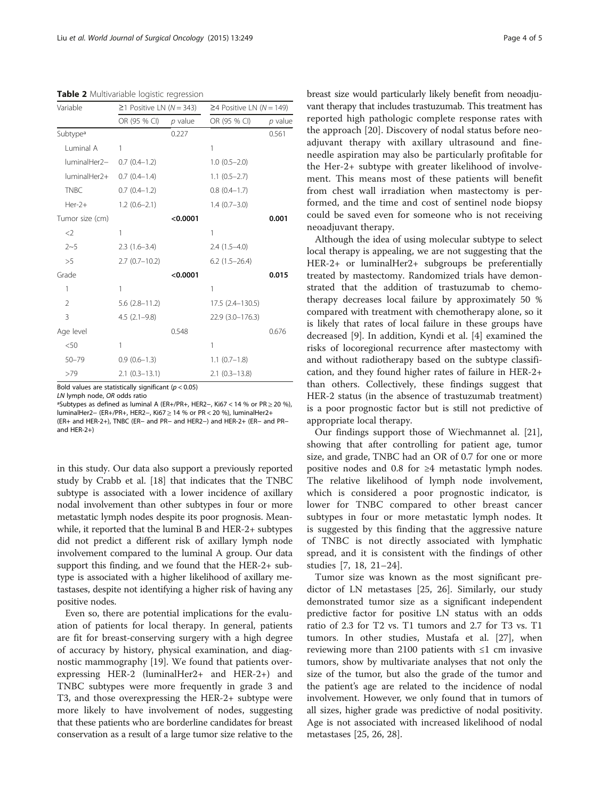<span id="page-3-0"></span>Table 2 Multivariable logistic regression

| Variable             | $≥1$ Positive LN (N = 343) |           | $\geq$ 4 Positive LN (N = 149) |           |
|----------------------|----------------------------|-----------|--------------------------------|-----------|
|                      | OR (95 % CI)               | $p$ value | OR (95 % CI)                   | $p$ value |
| Subtype <sup>a</sup> |                            | 0.227     |                                | 0.561     |
| Luminal A            | 1                          |           | 1                              |           |
| luminalHer2-         | $0.7$ $(0.4-1.2)$          |           | $1.0(0.5-2.0)$                 |           |
| luminalHer2+         | $0.7(0.4-1.4)$             |           | $1.1(0.5-2.7)$                 |           |
| <b>TNBC</b>          | $0.7(0.4-1.2)$             |           | $0.8(0.4-1.7)$                 |           |
| $Her-2+$             | $1.2(0.6-2.1)$             |           | $1.4(0.7-3.0)$                 |           |
| Tumor size (cm)      |                            | < 0.0001  |                                | 0.001     |
| $<$ 2                | 1                          |           | 1                              |           |
| $2 - 5$              | $2.3(1.6-3.4)$             |           | $2.4(1.5-4.0)$                 |           |
| >5                   | $2.7(0.7-10.2)$            |           | $6.2$ $(1.5-26.4)$             |           |
| Grade                |                            | < 0.0001  |                                | 0.015     |
| 1                    | 1                          |           | 1                              |           |
| 2                    | $5.6(2.8 - 11.2)$          |           | 17.5 (2.4–130.5)               |           |
| 3                    | $4.5(2.1-9.8)$             |           | 22.9 (3.0-176.3)               |           |
| Age level            |                            | 0.548     |                                | 0.676     |
| < 50                 | 1                          |           | 1                              |           |
| $50 - 79$            | $0.9(0.6-1.3)$             |           | $1.1$ $(0.7-1.8)$              |           |
| >79                  | $2.1(0.3-13.1)$            |           | $2.1$ (0.3-13.8)               |           |

Bold values are statistically significant ( $p < 0.05$ )

LN lymph node, OR odds ratio ªSubtypes as defined as luminal A (ER+/PR+, HER2−, Ki67 < 14 % or PR ≥ 20 %),

luminalHer2− (ER+/PR+, HER2−, Ki67 ≥ 14 % or PR < 20 %), luminalHer2+ (ER+ and HER-2+), TNBC (ER− and PR− and HER2−) and HER-2+ (ER− and PR− and HER-2+)

in this study. Our data also support a previously reported study by Crabb et al. [\[18\]](#page-4-0) that indicates that the TNBC subtype is associated with a lower incidence of axillary nodal involvement than other subtypes in four or more metastatic lymph nodes despite its poor prognosis. Meanwhile, it reported that the luminal B and HER-2+ subtypes did not predict a different risk of axillary lymph node involvement compared to the luminal A group. Our data support this finding, and we found that the HER-2+ subtype is associated with a higher likelihood of axillary metastases, despite not identifying a higher risk of having any positive nodes.

Even so, there are potential implications for the evaluation of patients for local therapy. In general, patients are fit for breast-conserving surgery with a high degree of accuracy by history, physical examination, and diagnostic mammography [\[19](#page-4-0)]. We found that patients overexpressing HER-2 (luminalHer2+ and HER-2+) and TNBC subtypes were more frequently in grade 3 and T3, and those overexpressing the HER-2+ subtype were more likely to have involvement of nodes, suggesting that these patients who are borderline candidates for breast conservation as a result of a large tumor size relative to the breast size would particularly likely benefit from neoadjuvant therapy that includes trastuzumab. This treatment has reported high pathologic complete response rates with the approach [\[20](#page-4-0)]. Discovery of nodal status before neoadjuvant therapy with axillary ultrasound and fineneedle aspiration may also be particularly profitable for the Her-2+ subtype with greater likelihood of involvement. This means most of these patients will benefit from chest wall irradiation when mastectomy is performed, and the time and cost of sentinel node biopsy could be saved even for someone who is not receiving neoadjuvant therapy.

Although the idea of using molecular subtype to select local therapy is appealing, we are not suggesting that the HER-2+ or luminalHer2+ subgroups be preferentially treated by mastectomy. Randomized trials have demonstrated that the addition of trastuzumab to chemotherapy decreases local failure by approximately 50 % compared with treatment with chemotherapy alone, so it is likely that rates of local failure in these groups have decreased [\[9](#page-4-0)]. In addition, Kyndi et al. [\[4](#page-4-0)] examined the risks of locoregional recurrence after mastectomy with and without radiotherapy based on the subtype classification, and they found higher rates of failure in HER-2+ than others. Collectively, these findings suggest that HER-2 status (in the absence of trastuzumab treatment) is a poor prognostic factor but is still not predictive of appropriate local therapy.

Our findings support those of Wiechmannet al. [\[21](#page-4-0)], showing that after controlling for patient age, tumor size, and grade, TNBC had an OR of 0.7 for one or more positive nodes and 0.8 for ≥4 metastatic lymph nodes. The relative likelihood of lymph node involvement, which is considered a poor prognostic indicator, is lower for TNBC compared to other breast cancer subtypes in four or more metastatic lymph nodes. It is suggested by this finding that the aggressive nature of TNBC is not directly associated with lymphatic spread, and it is consistent with the findings of other studies [[7, 18, 21](#page-4-0)–[24](#page-4-0)].

Tumor size was known as the most significant predictor of LN metastases [\[25, 26\]](#page-4-0). Similarly, our study demonstrated tumor size as a significant independent predictive factor for positive LN status with an odds ratio of 2.3 for T2 vs. T1 tumors and 2.7 for T3 vs. T1 tumors. In other studies, Mustafa et al. [\[27\]](#page-4-0), when reviewing more than 2100 patients with ≤1 cm invasive tumors, show by multivariate analyses that not only the size of the tumor, but also the grade of the tumor and the patient's age are related to the incidence of nodal involvement. However, we only found that in tumors of all sizes, higher grade was predictive of nodal positivity. Age is not associated with increased likelihood of nodal metastases [[25](#page-4-0), [26](#page-4-0), [28](#page-4-0)].